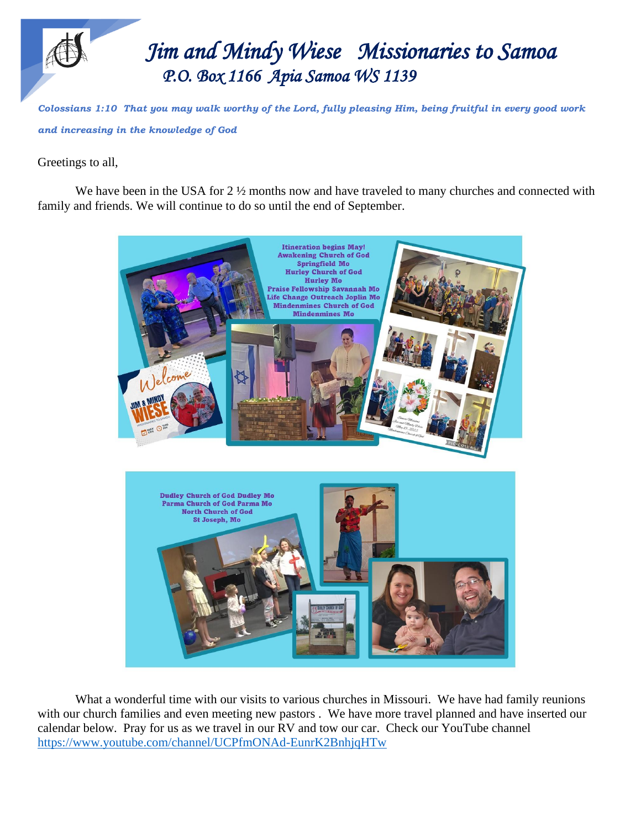

*Colossians 1:10 That you may walk worthy of the Lord, fully pleasing Him, being fruitful in every good work and increasing in the knowledge of God*

Greetings to all,

We have been in the USA for 2  $\frac{1}{2}$  months now and have traveled to many churches and connected with family and friends. We will continue to do so until the end of September.



What a wonderful time with our visits to various churches in Missouri. We have had family reunions with our church families and even meeting new pastors. We have more travel planned and have inserted our calendar below. Pray for us as we travel in our RV and tow our car. Check our YouTube channel <https://www.youtube.com/channel/UCPfmONAd-EunrK2BnhjqHTw>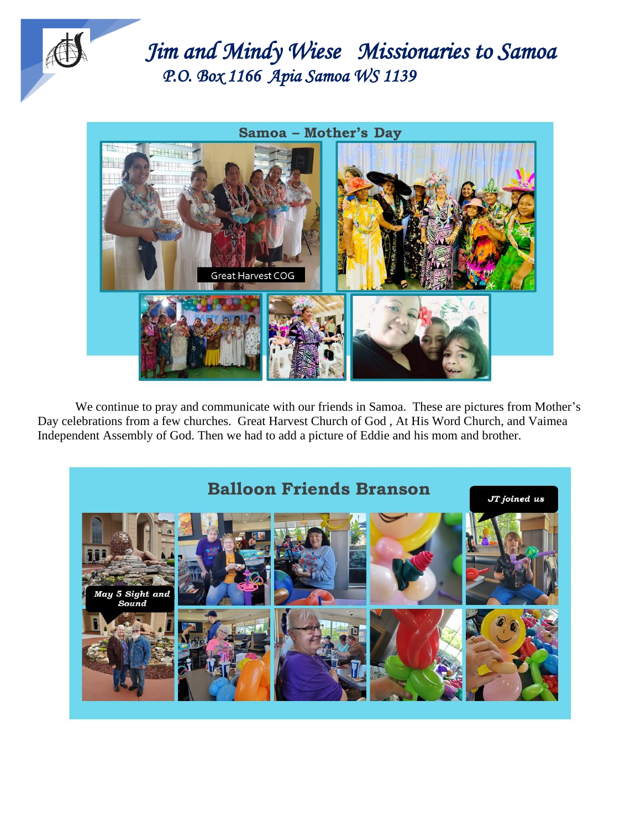



We continue to pray and communicate with our friends in Samoa. These are pictures from Mother's Day celebrations from a few churches. Great Harvest Church of God , At His Word Church, and Vaimea Independent Assembly of God. Then we had to add a picture of Eddie and his mom and brother.

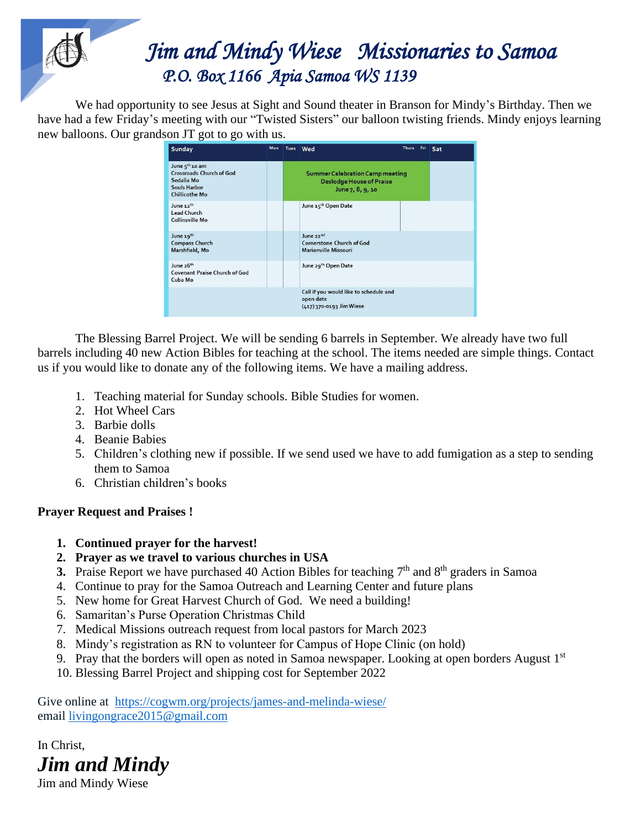## *Jim Jim and Mindy Wiese Missionaries to Samoa P.O. Box 1166 Apia Samoa WS 1139*

 We had opportunity to see Jesus at Sight and Sound theater in Branson for Mindy's Birthday. Then we have had a few Friday's meeting with our "Twisted Sisters" our balloon twisting friends. Mindy enjoys learning new balloons. Our grandson JT got to go with us.

| Sunday                                                                                                               | Mon | Tues Wed                                                                                      | <b>Thurs</b> | Fri | Sat |
|----------------------------------------------------------------------------------------------------------------------|-----|-----------------------------------------------------------------------------------------------|--------------|-----|-----|
| June 5 <sup>th</sup> 10 am<br><b>Crossroads Church of God</b><br>Sedalia Mo<br>Souls Harbor<br><b>Chillicothe Mo</b> |     | <b>Summer Celebration Camp meeting</b><br><b>Deslodge House of Praise</b><br>June 7, 8, 9, 10 |              |     |     |
| June 12th<br><b>Lead Church</b><br><b>Collinsville Mo</b>                                                            |     | June 15th Open Date                                                                           |              |     |     |
| June 19th<br><b>Compass Church</b><br>Marshfield, Mo                                                                 |     | June 22nd<br><b>Cornerstone Church of God</b><br><b>Marionville Missouri</b>                  |              |     |     |
| June 26th<br><b>Covenant Praise Church of God</b><br>Cuba Mo                                                         |     | June 29th Open Date                                                                           |              |     |     |
|                                                                                                                      |     | Call if you would like to schedule and<br>open date<br>(417) 370-0193 Jim Wiese               |              |     |     |

The Blessing Barrel Project. We will be sending 6 barrels in September. We already have two full barrels including 40 new Action Bibles for teaching at the school. The items needed are simple things. Contact us if you would like to donate any of the following items. We have a mailing address.

- 1. Teaching material for Sunday schools. Bible Studies for women.
- 2. Hot Wheel Cars
- 3. Barbie dolls
- 4. Beanie Babies
- 5. Children's clothing new if possible. If we send used we have to add fumigation as a step to sending them to Samoa
- 6. Christian children's books

## **Prayer Request and Praises !**

- **1. Continued prayer for the harvest!**
- **2. Prayer as we travel to various churches in USA**
- **3.** Praise Report we have purchased 40 Action Bibles for teaching  $7<sup>th</sup>$  and  $8<sup>th</sup>$  graders in Samoa
- 4. Continue to pray for the Samoa Outreach and Learning Center and future plans
- 5. New home for Great Harvest Church of God. We need a building!
- 6. Samaritan's Purse Operation Christmas Child
- 7. Medical Missions outreach request from local pastors for March 2023
- 8. Mindy's registration as RN to volunteer for Campus of Hope Clinic (on hold)
- 9. Pray that the borders will open as noted in Samoa newspaper. Looking at open borders August  $1<sup>st</sup>$
- 10. Blessing Barrel Project and shipping cost for September 2022

Give online at <https://cogwm.org/projects/james-and-melinda-wiese/> email [livingongrace2015@gmail.com](mailto:livingongrace2015@gmail.com)

In Christ, *Jim and Mindy*

Jim and Mindy Wiese